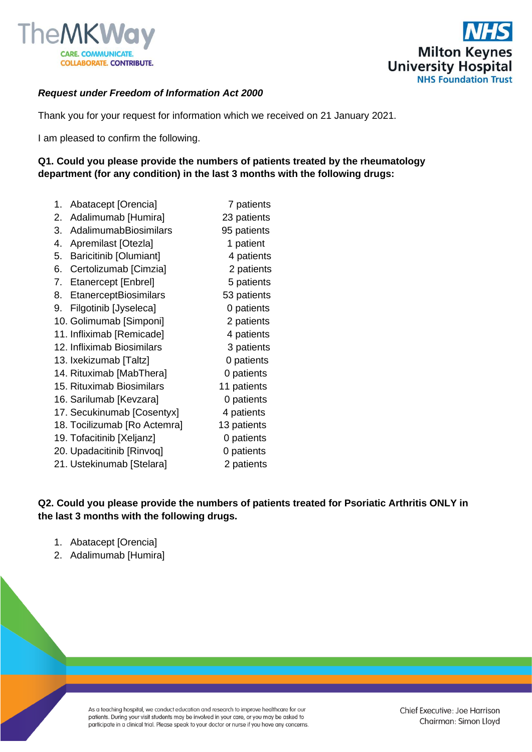



## *Request under Freedom of Information Act 2000*

Thank you for your request for information which we received on 21 January 2021.

I am pleased to confirm the following.

## **Q1. Could you please provide the numbers of patients treated by the rheumatology department (for any condition) in the last 3 months with the following drugs:**

1. Abatacept [Orencia] 7 patients 2. Adalimumab [Humira] 23 patients 3. AdalimumabBiosimilars 95 patients 4. Apremilast [Otezla] 1 patient 5. Baricitinib [Olumiant] 4 patients 6. Certolizumab [Cimzia] 2 patients 7. Etanercept [Enbrel] 5 patients 8. EtanerceptBiosimilars 53 patients 9. Filgotinib [Jyseleca] 0 patients 10. Golimumab [Simponi] 2 patients 11. Infliximab [Remicade] 4 patients 12. Infliximab Biosimilars 3 patients 13. Ixekizumab [Taltz] 0 patients 14. Rituximab [MabThera] 0 patients 15. Rituximab Biosimilars 11 patients 16. Sarilumab [Kevzara] 0 patients 17. Secukinumab [Cosentyx] 4 patients 18. Tocilizumab [Ro Actemra] 13 patients 19. Tofacitinib [Xelianz] **19. Tofacitinib** [Xelianz] 20. Upadacitinib [Rinvoq] 0 patients 21. Ustekinumab [Stelara] 2 patients

## **Q2. Could you please provide the numbers of patients treated for Psoriatic Arthritis ONLY in the last 3 months with the following drugs.**

- 1. Abatacept [Orencia]
- 2. Adalimumab [Humira]

As a teaching hospital, we conduct education and research to improve healthcare for our patients. During your visit students may be involved in your care, or you may be asked to participate in a clinical trial. Please speak to your doctor or nurse if you have any concerns.